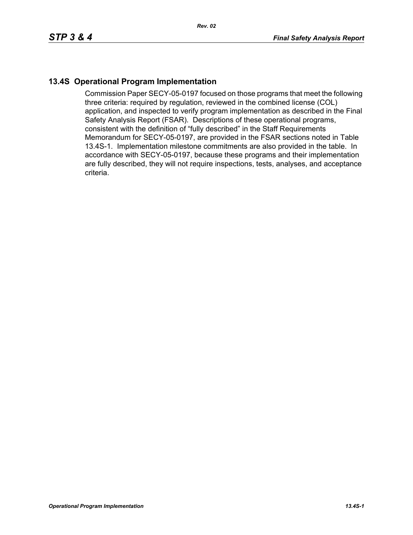## **13.4S Operational Program Implementation**

Commission Paper SECY-05-0197 focused on those programs that meet the following three criteria: required by regulation, reviewed in the combined license (COL) application, and inspected to verify program implementation as described in the Final Safety Analysis Report (FSAR). Descriptions of these operational programs, consistent with the definition of "fully described" in the Staff Requirements Memorandum for SECY-05-0197, are provided in the FSAR sections noted in Table 13.4S-1. Implementation milestone commitments are also provided in the table. In accordance with SECY-05-0197, because these programs and their implementation are fully described, they will not require inspections, tests, analyses, and acceptance criteria.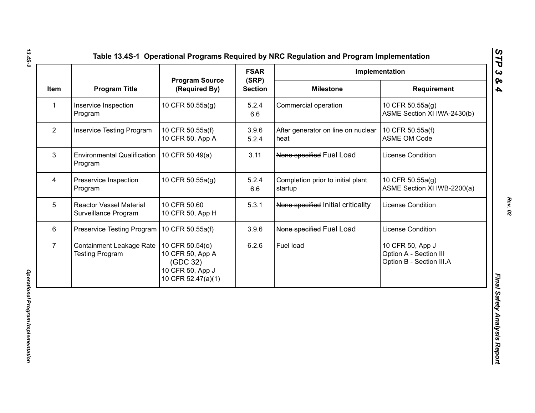|                |                                                        |                                                                                           | <b>FSAR</b>             | Implementation                               |                                                                        |
|----------------|--------------------------------------------------------|-------------------------------------------------------------------------------------------|-------------------------|----------------------------------------------|------------------------------------------------------------------------|
| Item           | <b>Program Title</b>                                   | <b>Program Source</b><br>(Required By)                                                    | (SRP)<br><b>Section</b> | <b>Milestone</b>                             | <b>Requirement</b>                                                     |
| 1              | Inservice Inspection<br>Program                        | 10 CFR 50.55a(g)                                                                          | 5.2.4<br>6.6            | Commercial operation                         | 10 CFR 50.55a(g)<br>ASME Section XI IWA-2430(b)                        |
| $\overline{2}$ | <b>Inservice Testing Program</b>                       | 10 CFR 50.55a(f)<br>10 CFR 50, App A                                                      | 3.9.6<br>5.2.4          | After generator on line on nuclear<br>heat   | 10 CFR 50.55a(f)<br><b>ASME OM Code</b>                                |
| 3              | <b>Environmental Qualification</b><br>Program          | 10 CFR 50.49(a)                                                                           | 3.11                    | None specified Fuel Load                     | License Condition                                                      |
| 4              | Preservice Inspection<br>Program                       | 10 CFR 50.55a(g)                                                                          | 5.2.4<br>6.6            | Completion prior to initial plant<br>startup | 10 CFR 50.55a(g)<br>ASME Section XI IWB-2200(a)                        |
| 5              | <b>Reactor Vessel Material</b><br>Surveillance Program | 10 CFR 50.60<br>10 CFR 50, App H                                                          | 5.3.1                   | None specified Initial criticality           | License Condition                                                      |
| 6              | Preservice Testing Program                             | 10 CFR 50.55a(f)                                                                          | 3.9.6                   | None specified Fuel Load                     | <b>License Condition</b>                                               |
| $\overline{7}$ | Containment Leakage Rate<br><b>Testing Program</b>     | 10 CFR 50.54(o)<br>10 CFR 50, App A<br>(GDC 32)<br>10 CFR 50, App J<br>10 CFR 52.47(a)(1) | 6.2.6                   | Fuel load                                    | 10 CFR 50, App J<br>Option A - Section III<br>Option B - Section III.A |

*Rev. 02*

*STP 3 & 4*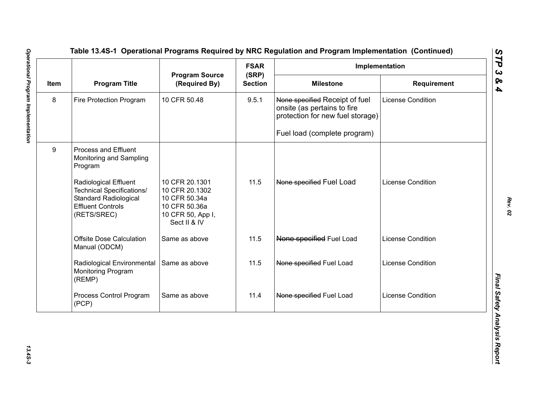|      | <b>Program Title</b>                                                                                                                 | <b>Program Source</b><br>(Required By)                                                                  | <b>FSAR</b><br>(SRP)<br><b>Section</b> | Implementation                                                                                    |                          |
|------|--------------------------------------------------------------------------------------------------------------------------------------|---------------------------------------------------------------------------------------------------------|----------------------------------------|---------------------------------------------------------------------------------------------------|--------------------------|
| Item |                                                                                                                                      |                                                                                                         |                                        | <b>Milestone</b>                                                                                  | Requirement              |
| 8    | Fire Protection Program                                                                                                              | 10 CFR 50.48                                                                                            | 9.5.1                                  | None specified Receipt of fuel<br>onsite (as pertains to fire<br>protection for new fuel storage) | <b>License Condition</b> |
|      |                                                                                                                                      |                                                                                                         |                                        | Fuel load (complete program)                                                                      |                          |
| 9    | Process and Effluent<br>Monitoring and Sampling<br>Program                                                                           |                                                                                                         |                                        |                                                                                                   |                          |
|      | Radiological Effluent<br><b>Technical Specifications/</b><br><b>Standard Radiological</b><br><b>Effluent Controls</b><br>(RETS/SREC) | 10 CFR 20.1301<br>10 CFR 20.1302<br>10 CFR 50.34a<br>10 CFR 50.36a<br>10 CFR 50, App I,<br>Sect II & IV | 11.5                                   | None specified Fuel Load                                                                          | License Condition        |
|      | <b>Offsite Dose Calculation</b><br>Manual (ODCM)                                                                                     | Same as above                                                                                           | 11.5                                   | None specified Fuel Load                                                                          | <b>License Condition</b> |
|      | Radiological Environmental<br>Monitoring Program<br>(REMP)                                                                           | Same as above                                                                                           | 11.5                                   | None specified Fuel Load                                                                          | <b>License Condition</b> |
|      | Process Control Program<br>(PCP)                                                                                                     | Same as above                                                                                           | 11.4                                   | None specified Fuel Load                                                                          | License Condition        |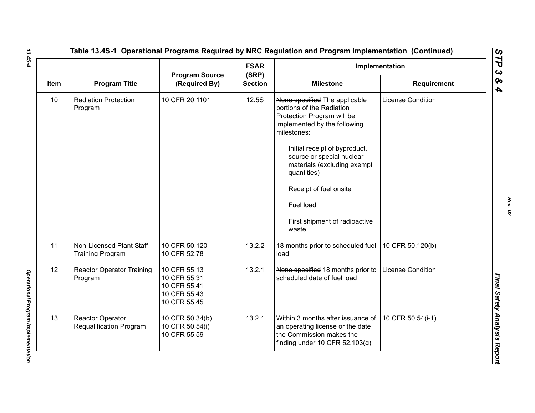|      |                                                     |                                                                              | <b>FSAR</b>             |                                                                                                                                         | Implementation           |  |
|------|-----------------------------------------------------|------------------------------------------------------------------------------|-------------------------|-----------------------------------------------------------------------------------------------------------------------------------------|--------------------------|--|
| Item | <b>Program Title</b>                                | <b>Program Source</b><br>(Required By)                                       | (SRP)<br><b>Section</b> | <b>Milestone</b>                                                                                                                        | <b>Requirement</b>       |  |
| 10   | <b>Radiation Protection</b><br>Program              | 10 CFR 20.1101                                                               | 12.5S                   | None specified The applicable<br>portions of the Radiation<br>Protection Program will be<br>implemented by the following<br>milestones: | <b>License Condition</b> |  |
|      |                                                     |                                                                              |                         | Initial receipt of byproduct,<br>source or special nuclear<br>materials (excluding exempt<br>quantities)                                |                          |  |
|      |                                                     |                                                                              |                         | Receipt of fuel onsite                                                                                                                  |                          |  |
|      |                                                     |                                                                              |                         | Fuel load                                                                                                                               |                          |  |
|      |                                                     |                                                                              |                         | First shipment of radioactive<br>waste                                                                                                  |                          |  |
| 11   | Non-Licensed Plant Staff<br><b>Training Program</b> | 10 CFR 50.120<br>10 CFR 52.78                                                | 13.2.2                  | 18 months prior to scheduled fuel<br>load                                                                                               | 10 CFR 50.120(b)         |  |
| 12   | <b>Reactor Operator Training</b><br>Program         | 10 CFR 55.13<br>10 CFR 55.31<br>10 CFR 55.41<br>10 CFR 55.43<br>10 CFR 55.45 | 13.2.1                  | None specified 18 months prior to<br>scheduled date of fuel load                                                                        | <b>License Condition</b> |  |
| 13   | Reactor Operator<br><b>Requalification Program</b>  | 10 CFR 50.34(b)<br>10 CFR 50.54(i)<br>10 CFR 55.59                           | 13.2.1                  | Within 3 months after issuance of<br>an operating license or the date<br>the Commission makes the<br>finding under 10 CFR 52.103(g)     | 10 CFR 50.54(i-1)        |  |

*Rev. 02*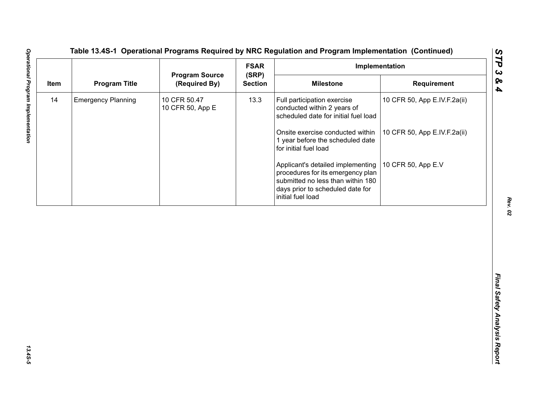| <b>Milestone</b><br>Requirement<br>Full participation exercise<br>10 CFR 50, App E.IV.F.2a(ii)<br>conducted within 2 years of<br>scheduled date for initial fuel load<br>Onsite exercise conducted within<br>10 CFR 50, App E.IV.F.2a(ii)<br>1 year before the scheduled date<br>for initial fuel load<br>10 CFR 50, App E.V<br>Applicant's detailed implementing | <b>Program Title</b><br>(Required By)<br><b>Section</b><br>10 CFR 50.47<br>13.3<br>10 CFR 50, App E<br>procedures for its emergency plan<br>submitted no less than within 180<br>days prior to scheduled date for<br>initial fuel load | <b>Emergency Planning</b> |  |      |                       | <b>FSAR</b> | Implementation |  |  |
|-------------------------------------------------------------------------------------------------------------------------------------------------------------------------------------------------------------------------------------------------------------------------------------------------------------------------------------------------------------------|----------------------------------------------------------------------------------------------------------------------------------------------------------------------------------------------------------------------------------------|---------------------------|--|------|-----------------------|-------------|----------------|--|--|
|                                                                                                                                                                                                                                                                                                                                                                   |                                                                                                                                                                                                                                        |                           |  | Item | <b>Program Source</b> | (SRP)       |                |  |  |
|                                                                                                                                                                                                                                                                                                                                                                   |                                                                                                                                                                                                                                        |                           |  | 14   |                       |             |                |  |  |
|                                                                                                                                                                                                                                                                                                                                                                   |                                                                                                                                                                                                                                        |                           |  |      |                       |             |                |  |  |
|                                                                                                                                                                                                                                                                                                                                                                   |                                                                                                                                                                                                                                        |                           |  |      |                       |             |                |  |  |
|                                                                                                                                                                                                                                                                                                                                                                   |                                                                                                                                                                                                                                        |                           |  |      |                       |             |                |  |  |
|                                                                                                                                                                                                                                                                                                                                                                   |                                                                                                                                                                                                                                        |                           |  |      |                       |             |                |  |  |